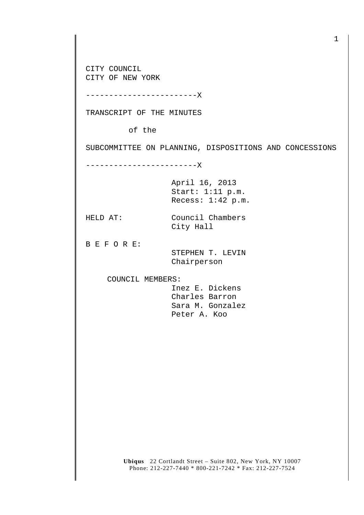CITY COUNCIL CITY OF NEW YORK

------------------------X

TRANSCRIPT OF THE MINUTES

of the

SUBCOMMITTEE ON PLANNING, DISPOSITIONS AND CONCESSIONS

------------------------X

April 16, 2013 Start: 1:11 p.m. Recess: 1:42 p.m.

HELD AT: Council Chambers City Hall

B E F O R E:

 STEPHEN T. LEVIN Chairperson

COUNCIL MEMBERS:

 Inez E. Dickens Charles Barron Sara M. Gonzalez Peter A. Koo

**Ubiqus** 22 Cortlandt Street – Suite 802, New York, NY 10007 Phone: 212-227-7440 \* 800-221-7242 \* Fax: 212-227-7524

1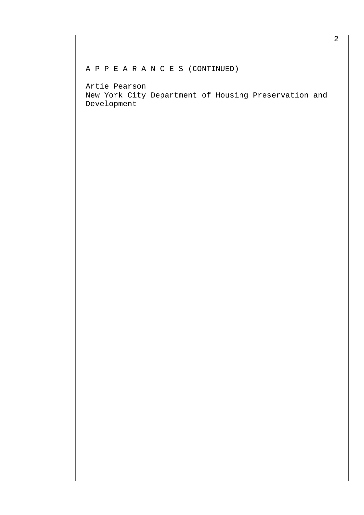## A P P E A R A N C E S (CONTINUED)

Artie Pearson New York City Department of Housing Preservation and Development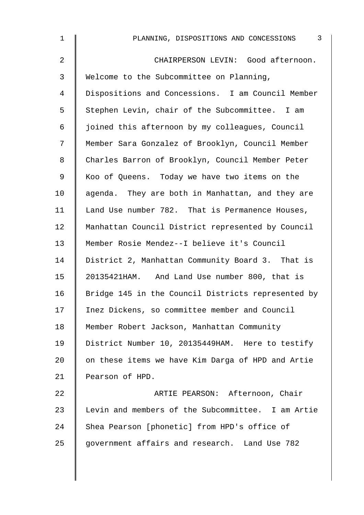| 3<br>PLANNING, DISPOSITIONS AND CONCESSIONS        |
|----------------------------------------------------|
| CHAIRPERSON LEVIN: Good afternoon.                 |
| Welcome to the Subcommittee on Planning,           |
| Dispositions and Concessions. I am Council Member  |
| Stephen Levin, chair of the Subcommittee. I am     |
| joined this afternoon by my colleagues, Council    |
| Member Sara Gonzalez of Brooklyn, Council Member   |
| Charles Barron of Brooklyn, Council Member Peter   |
| Koo of Queens. Today we have two items on the      |
| agenda. They are both in Manhattan, and they are   |
| Land Use number 782. That is Permanence Houses,    |
| Manhattan Council District represented by Council  |
| Member Rosie Mendez--I believe it's Council        |
| District 2, Manhattan Community Board 3. That is   |
| 20135421HAM. And Land Use number 800, that is      |
| Bridge 145 in the Council Districts represented by |
| Inez Dickens, so committee member and Council      |
| Member Robert Jackson, Manhattan Community         |
| District Number 10, 20135449HAM. Here to testify   |
| on these items we have Kim Darga of HPD and Artie  |
| Pearson of HPD.                                    |
| ARTIE PEARSON: Afternoon, Chair                    |
| Levin and members of the Subcommittee. I am Artie  |
| Shea Pearson [phonetic] from HPD's office of       |
| government affairs and research. Land Use 782      |
|                                                    |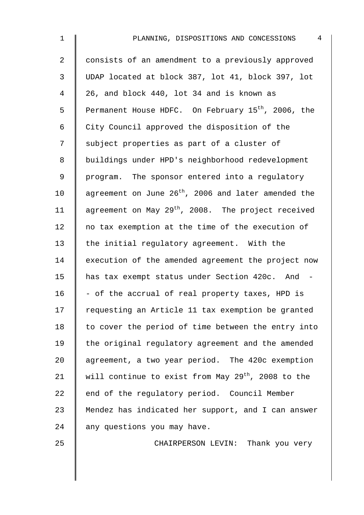| 1              | 4<br>PLANNING, DISPOSITIONS AND CONCESSIONS                     |
|----------------|-----------------------------------------------------------------|
| $\overline{a}$ | consists of an amendment to a previously approved               |
| 3              | UDAP located at block 387, lot 41, block 397, lot               |
| 4              | 26, and block 440, lot 34 and is known as                       |
| 5              | Permanent House HDFC. On February 15 <sup>th</sup> , 2006, the  |
| 6              | City Council approved the disposition of the                    |
| 7              | subject properties as part of a cluster of                      |
| 8              | buildings under HPD's neighborhood redevelopment                |
| 9              | program. The sponsor entered into a regulatory                  |
| 10             | agreement on June 26 <sup>th</sup> , 2006 and later amended the |
| 11             | agreement on May 29 <sup>th</sup> , 2008. The project received  |
| 12             | no tax exemption at the time of the execution of                |
| 13             | the initial regulatory agreement. With the                      |
| 14             | execution of the amended agreement the project now              |
| 15             | has tax exempt status under Section 420c. And -                 |
| 16             | - of the accrual of real property taxes, HPD is                 |
| 17             | requesting an Article 11 tax exemption be granted               |
| 18             | to cover the period of time between the entry into              |
| 19             | the original regulatory agreement and the amended               |
| 20             | agreement, a two year period. The 420c exemption                |
| 21             | will continue to exist from May 29 <sup>th</sup> , 2008 to the  |
| 22             | end of the regulatory period. Council Member                    |
| 23             | Mendez has indicated her support, and I can answer              |
| 24             | any questions you may have.                                     |
|                |                                                                 |

25 CHAIRPERSON LEVIN: Thank you very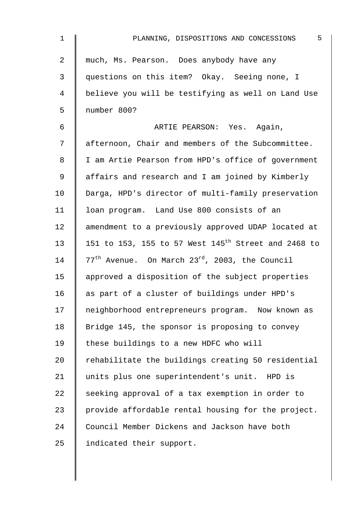| 1  | 5<br>PLANNING, DISPOSITIONS AND CONCESSIONS                     |
|----|-----------------------------------------------------------------|
| 2  | much, Ms. Pearson. Does anybody have any                        |
| 3  | questions on this item? Okay. Seeing none, I                    |
| 4  | believe you will be testifying as well on Land Use              |
| 5  | number 800?                                                     |
| 6  | ARTIE PEARSON: Yes. Again,                                      |
| 7  | afternoon, Chair and members of the Subcommittee.               |
| 8  | I am Artie Pearson from HPD's office of government              |
| 9  | affairs and research and I am joined by Kimberly                |
| 10 | Darga, HPD's director of multi-family preservation              |
| 11 | loan program. Land Use 800 consists of an                       |
| 12 | amendment to a previously approved UDAP located at              |
| 13 | 151 to 153, 155 to 57 West 145 <sup>th</sup> Street and 2468 to |
| 14 | $77th$ Avenue. On March $23rd$ , 2003, the Council              |
| 15 | approved a disposition of the subject properties                |
| 16 | as part of a cluster of buildings under HPD's                   |
| 17 | neighborhood entrepreneurs program. Now known as                |
| 18 | Bridge 145, the sponsor is proposing to convey                  |
| 19 | these buildings to a new HDFC who will                          |
| 20 | rehabilitate the buildings creating 50 residential              |
| 21 | units plus one superintendent's unit. HPD is                    |
| 22 | seeking approval of a tax exemption in order to                 |
| 23 | provide affordable rental housing for the project.              |
| 24 | Council Member Dickens and Jackson have both                    |
| 25 | indicated their support.                                        |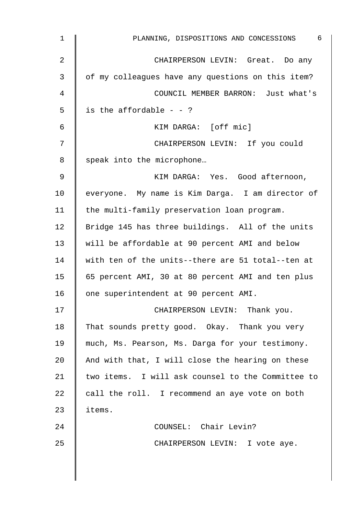| $\mathbf 1$ | 6<br>PLANNING, DISPOSITIONS AND CONCESSIONS       |
|-------------|---------------------------------------------------|
| 2           | CHAIRPERSON LEVIN: Great. Do any                  |
| 3           | of my colleagues have any questions on this item? |
| 4           | COUNCIL MEMBER BARRON: Just what's                |
| 5           | is the affordable $-$ - ?                         |
| 6           | KIM DARGA: [off mic]                              |
| 7           | CHAIRPERSON LEVIN: If you could                   |
| 8           | speak into the microphone                         |
| 9           | KIM DARGA: Yes. Good afternoon,                   |
| 10          | everyone. My name is Kim Darga. I am director of  |
| 11          | the multi-family preservation loan program.       |
| 12          | Bridge 145 has three buildings. All of the units  |
| 13          | will be affordable at 90 percent AMI and below    |
| 14          | with ten of the units--there are 51 total--ten at |
| 15          | 65 percent AMI, 30 at 80 percent AMI and ten plus |
| 16          | one superintendent at 90 percent AMI.             |
| 17          | CHAIRPERSON LEVIN: Thank you.                     |
| 18          | That sounds pretty good. Okay. Thank you very     |
| 19          | much, Ms. Pearson, Ms. Darga for your testimony.  |
| 20          | And with that, I will close the hearing on these  |
| 21          | two items. I will ask counsel to the Committee to |
| 22          | call the roll. I recommend an aye vote on both    |
| 23          | items.                                            |
| 24          | COUNSEL: Chair Levin?                             |
| 25          | CHAIRPERSON LEVIN: I vote aye.                    |
|             |                                                   |
|             |                                                   |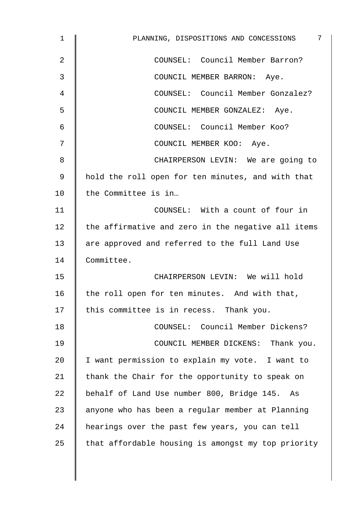| $\mathbf 1$ | 7<br>PLANNING, DISPOSITIONS AND CONCESSIONS        |
|-------------|----------------------------------------------------|
| 2           | COUNSEL: Council Member Barron?                    |
| 3           | COUNCIL MEMBER BARRON: Aye.                        |
| 4           | COUNSEL: Council Member Gonzalez?                  |
| 5           | COUNCIL MEMBER GONZALEZ: Aye.                      |
| 6           | COUNSEL: Council Member Koo?                       |
| 7           | COUNCIL MEMBER KOO: Aye.                           |
| 8           | CHAIRPERSON LEVIN: We are going to                 |
| 9           | hold the roll open for ten minutes, and with that  |
| 10          | the Committee is in                                |
| 11          | COUNSEL: With a count of four in                   |
| 12          | the affirmative and zero in the negative all items |
| 13          | are approved and referred to the full Land Use     |
| 14          | Committee.                                         |
| 15          | CHAIRPERSON LEVIN: We will hold                    |
| 16          | the roll open for ten minutes. And with that,      |
| 17          | this committee is in recess. Thank you.            |
| 18          | COUNSEL: Council Member Dickens?                   |
| 19          | COUNCIL MEMBER DICKENS: Thank you.                 |
| 20          | I want permission to explain my vote. I want to    |
| 21          | thank the Chair for the opportunity to speak on    |
| 22          | behalf of Land Use number 800, Bridge 145. As      |
| 23          | anyone who has been a regular member at Planning   |
| 24          | hearings over the past few years, you can tell     |
| 25          | that affordable housing is amongst my top priority |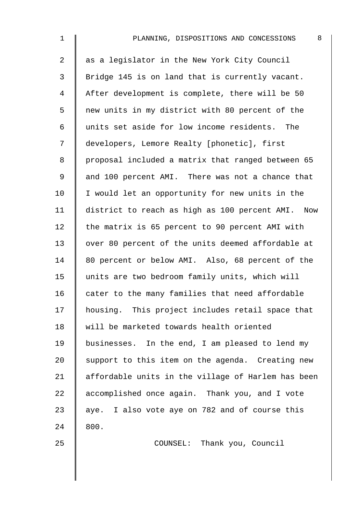| 1              | 8<br>PLANNING, DISPOSITIONS AND CONCESSIONS        |
|----------------|----------------------------------------------------|
| $\overline{2}$ | as a legislator in the New York City Council       |
| 3              | Bridge 145 is on land that is currently vacant.    |
| $\overline{4}$ | After development is complete, there will be 50    |
| 5              | new units in my district with 80 percent of the    |
| 6              | units set aside for low income residents. The      |
| 7              | developers, Lemore Realty [phonetic], first        |
| 8              | proposal included a matrix that ranged between 65  |
| 9              | and 100 percent AMI. There was not a chance that   |
| 10             | I would let an opportunity for new units in the    |
| 11             | district to reach as high as 100 percent AMI. Now  |
| 12             | the matrix is 65 percent to 90 percent AMI with    |
| 13             | over 80 percent of the units deemed affordable at  |
| 14             | 80 percent or below AMI. Also, 68 percent of the   |
| 15             | units are two bedroom family units, which will     |
| 16             | cater to the many families that need affordable    |
| 17             | housing. This project includes retail space that   |
| 18             | will be marketed towards health oriented           |
| 19             | businesses. In the end, I am pleased to lend my    |
| 20             | support to this item on the agenda. Creating new   |
| 21             | affordable units in the village of Harlem has been |
| 22             | accomplished once again. Thank you, and I vote     |
| 23             | aye. I also vote aye on 782 and of course this     |
| 24             | 800.                                               |
| 25             | COUNSEL: Thank you, Council                        |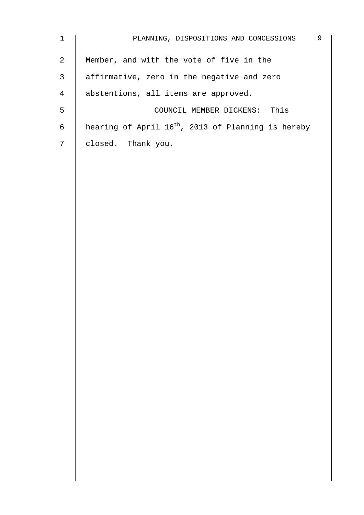| $\mathbf{1}$   | 9<br>PLANNING, DISPOSITIONS AND CONCESSIONS                    |
|----------------|----------------------------------------------------------------|
| 2              | Member, and with the vote of five in the                       |
| 3              | affirmative, zero in the negative and zero                     |
| $\overline{4}$ | abstentions, all items are approved.                           |
| 5              | This<br>COUNCIL MEMBER DICKENS:                                |
| 6              | hearing of April 16 <sup>th</sup> , 2013 of Planning is hereby |
| 7              | closed. Thank you.                                             |
|                |                                                                |